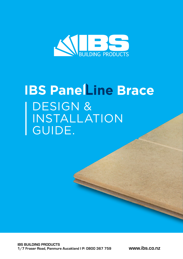

# **IBS PaneLine Brace** DESIGN & INSTALLATION GUIDE.

[www.ibs.co.nz](http://www.ibs.co.nz)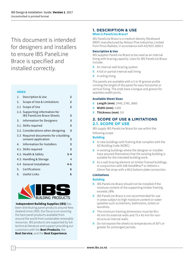This document is intended for designers and installers to ensure IBS Panell ine Brace is specified and installed correctly.

#### **INDEX**

| 1. | Description & Use                                                    | $\mathbf{2}$   |
|----|----------------------------------------------------------------------|----------------|
| 2. | Scope of Use & Limitations                                           | $\overline{2}$ |
|    | 2.1 Scope of Use                                                     | $\overline{2}$ |
|    | 2.2. Supporting information for<br><b>IBS PanelLine Brace Sheets</b> | 3              |
|    | 3. Information for Designers                                         | 3              |
|    | 3.1. Skills required                                                 | 3              |
|    | 3.2. Considerations when designing                                   | 3              |
|    | 3.3 Required documents for a building<br>consent application         | 3              |
| 4. | Information for Installers                                           | 3              |
|    | 4.1. Skills required                                                 | 3              |
|    | 4.2. Health & Safety                                                 | $3 - 4$        |
|    | 4.3. Handling & Storage                                              | 4              |
|    | 4.4 General Installation                                             | $4 - 6$        |
| 5. | Certfications                                                        | 6              |
|    | 6. Useful Links                                                      | 6              |



**Independent Building Supplies (IBS)** has been distributing panel products around New Zealand since 1993. Our focus is on sourcing the best panel products available from around the world from sustainable renewable resources. IBS products are supported by full technical literature and support providing our customers with the **Best Products**, the **Best Service**, and the **Best Experience**.

## **1. DESCRIPTION & USE What is PanelLine Brace?**

IBS PanelLine Brace is a medium density fibreboard (MDF) manufactured by Nelson Pine Industries Limited from Pinus Radiata, in accordance with AS/NZS 1859.2.

#### **Description & Use**

IBS supplies PanelLine Brace to be used as an internal lining with bracing capacity. Uses for IBS PanelLine Brace include:

- **II** An internal wall bracing system
- **II** A full or partial internal wall lining
- **II** A ceiling lining

The panels are available with a V or W groove profile running the length of the panel for easy horizontal or vertical fixing. The ends have a tongue and groove for seamless width joints.

#### **Available Sheet Sizes**

- **II Length (mm)**: 2440, 2745, 3660
- **II Width (mm):** 1200
- **II Thickness (mm)**: 9.0

## **2. SCOPE OF USE & LIMITATIONS 2.1. SCOPE OF USE**

IBS supply IBS PanelLine Brace for use within the following scope:

#### **Building**

- **II** In new buildings with framing that complies with the NZ Building Code (NZBC).
- **II** In existing buildings where the designer or installer have assured themselves that the existing building is suitable for the intended building work.
- **II** As a wall bracing element on timber framed buildings, in conjunction with GIB HandiBrac® or 400mm x 25mm flat strap with a M12 bottom plate connection.

## **Limitations**

#### **Building**

- **II** IBS PanelLine Brace should not be installed if the moisture content of the supporting timber framing exceeds 18%.
- **II** IBS PanelLine Brace is not recommended for use in areas subject to high moisture content or water splashes such as kitchens, bathrooms, toilets or laundries.
- **II** The minimum framing dimensions must be 90 x 45 mm for external walls and 75 x 45 mm for nonstructural internal walls.
- **II** Do not expose the sheets to temperatures of 50°c or greater for prolonged periods.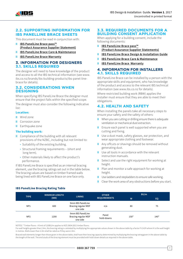

# **2.2. SUPPORTING INFORMATION FOR IBS PANELLINE BRACE SHEETS**

This document must be read in conjunction with:

- **II [IBS PanelLine Brace pass™](http://ibs.co.nz/media/1597/ibs_panelline_pass_op1.pdf) [\(Product Assurance Supplier Statement\)](http://ibs.co.nz/media/1597/ibs_panelline_pass_op1.pdf)**
- **II [IBS PanelLine Brace Care & Maintenance](http://ibs.co.nz/media/1596/ibs_panelline_maintenance_op1.pdf)**
- **II [IBS PanelLine Brace Warranty](http://ibs.co.nz/media/1598/ibs_panelline_warranty_op1.pdf)**

## **3. INFORMATION FOR DESIGNERS 3.1. SKILLS REQUIRED**

The designer will need to have knowledge of the product and access to all the IBS technical information (see www. ibs.co.nz/brands/ibs-building-products/ibs-panel-linebrace for details).

## **3.2. CONSIDERATIONS WHEN DESIGNING**

When specifying IBS PanelLine Brace the designer must ensure that the project falls within the specified scope.

The designer must also consider the following indicative list:

## **Location:**

- **II** Wind zone
- **II** Corrosion zone
- **II** Earthquake zone

#### **The building work:**

- **II** Compliance of the building with all relevant provisions of the NZBC, including but not limited to:
	- Suitability of the existing building.

**IBS PanelLine Bracing Rating Table**

- Structural framing requirements (short and long term).
- Other materials likely to affect the product's performance.

If IBS PanelLine Brace is specified as an internal bracing element, use the bracing ratings set out in the table below. The bracing values are based on timber framed walls being lined with IBS PanelLine Brace on one face only.

## **3.3. REQUIRED DOCUMENTS FOR A BUILDING CONSENT APPLICATION**

When applying for a building consent, include the following documents:

- **II [IBS PanelLine Brace pass™](http://ibs.co.nz/media/1597/ibs_panelline_pass_op1.pdf) [\(Product Assurance Supplier Statements\)](http://ibs.co.nz/media/1597/ibs_panelline_pass_op1.pdf)**
- **II [IBS PanelLine Brace Design & Installation Guide](http://ibs.co.nz/media/1600/ibs_panelline_installation_guide_op1.pdf)**
- **II [IBS PanelLine Brace Care & Maintenance](http://ibs.co.nz/media/1596/ibs_panelline_maintenance_op1.pdf)**
- **II [IBS PanelLine Brace Warranty](http://ibs.co.nz/media/1598/ibs_panelline_warranty_op1.pdf)**

## **4. INFORMATION FOR INSTALLERS 4.1. SKILLS REQUIRED**

IBS PanelLine Brace can be installed by a person with the appropriate skills and equipment, who has knowledge of the product and access to the relevant IBS technical information (see www.ibs.co.nz for details).

Where restricted building work (RBW) applies the installer must ensure that they are able to meet their obligations.

# **4.2. HEALTH AND SAFETY**

When installing the panels take all necessary steps to ensure your safety and the safety of others:

- **II** When you are cutting or drilling ensure there is adequate ventilation or mechanical dust extraction.
- **II** Ensure each panel is well supported when you are cutting and fixing.
- **II** Use a dust mask, safety glasses, ear protection, and wear appropriate clothing and footwear.
- **II** Any offcuts or shavings should be removed without generating dust.
- **II** Use all tools in accordance with the relevant instruction manuals.
- **II** Select and use the right equipment for working at height.
- **II** Plan and monitor a safe approach for working at height.
- **II** Use ladders and stepladders to ensure safe working.
- **II** Clear the work area of any obstructions before you start.

| <b>TYPE</b>     | <b>MINIMUM LENGTH</b><br>(MM) | <b>LINING</b>                                        | <b>OTHER</b><br><b>REQUIREMENTS</b> | BU/m |        |
|-----------------|-------------------------------|------------------------------------------------------|-------------------------------------|------|--------|
|                 |                               |                                                      |                                     | W    | EQ     |
| NP <sub>1</sub> | 600                           | 9mm IBS PanelLine<br>Bracing regular MDF<br>one side | n/a                                 | 80   | 75     |
| NP <sub>2</sub> | 1200                          | 9mm IBS PanelLine<br>Bracing regular MDF<br>one side | Panel<br>hold-downs                 | 150* | $140*$ |

NOTES: \* Timber floors - A limit of 120BU/m applies to NZS 3604:2011 timber floors.

For wall heights greater than 2.4m, the bracing rating is calulated by multiplying the appropriate values shown in the above table by a factor f=2.4/H where H is the wall height in metres. Walls lower than 2.4m shall be rated as if they were 2.4m.

Braced wall elements longer than those given in the above table, shall have their bracing capacity determined by multiplying the bracing rating given in the above table by the length of the wall. The end studs of the bracing element must be provided with hold-down details as required in the above table.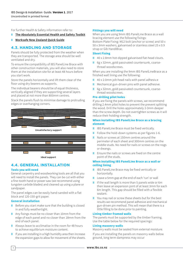For further Health & Safety information refer to:

#### **II [The Absolutely Essential Health and Safety Toolkit](http://www.worksafe.govt.nz/worksafe/information-guidance/all-guidance-items/toolkit-small-construction-sites)**

#### **II [Worksafe New Zealand Quick Guide](http://construction.worksafe.govt.nz/quick-guide)**

## **4.3. HANDLING AND STORAGE**

Panels should be fully protected from the weather when they are transported. The storage area should be well ventilated and dry.

To ensure the compatibility of IBS PanelLine Brace with other construction materials, you will also need to store them at the installation site for at least 48 hours before you start work.

Store the panels horizontally and lift them clear of the floor using dry bearers as supports.

The individual bearers should be of equal thickness, vertically aligned if they are supporting several layers and placed at not more than 800mm centres.

Stack the panels flush to minimise damage to protruding edges or overhanging corners.



# **4.4. GENERAL INSTALLATION**

#### **Tools you will need**

General carpentry and woodworking tools are all that you will need to install the panels. They can be cut with either a fine-tooth hand or power saw (we recommend using tungsten carbide blades) and cleaned up using a plane or sandpaper.

The panel edges can be easily hand-sanded with a flat block and 120-150-grit paper.

#### **General installation**

- **II** Before you start make sure that the building is closed in and fully weathertight.
- **II** Any fixings must be no closer than 10mm from the edge of each panel and no closer than 18mm from the end of each panel.
- **II** Always leave to acclimatise in the room for 48 hours to achieve equilibrium moisture content.
- **II** If you are installing in a high humidity area then increase the expansion gaps to allow for movement of the sheets.

#### **Fittings you will need**

When you are using 9mm IBS PanelLine Brace as a wall bracing element use the following fixings: Bottom Plate Fixing: M12 bolt (anchor or screw) and 50 x 50 x 3mm washers, galvanised or stainless steel 25 x 0.9 strap or Gib HandiBrac.

#### **Sheet Fixing**

- **II** 40 x 2.8mm hot-dipped galvanised flat-head clouts.
- **II** 6g x 32mm, gold passivated countersunk, coarsethread woodscrews.

When you are installing the 9mm IBS PanelLineBrace as a finished wall lining use the following:

- **II** 40 x 2.0mm jolt-head nails with panel adhesiv.e
- **II** Mechanical gun-driven pins with panel adhesive.
- **II** 6g x 32mm, gold passivated countersunk, coarsethread woodscrews.

#### **Pre-drilling pilot holes**

If you are fixing the panels with screws, we recommend drilling 2.4mm pilot holes to prevent the prevent splitting the wood. Drill the holes approximately 2-3mm deeper than the screw depth. Do not overtighten screws as it will reduce their holding strength.

#### **When installing IBS PanelLine Brace as a bracing element**

- **II** IBS PanelLine Brace must be fixed vertically.
- **II** Follow the hold-down systems as per figures 1-6.
- **II** Nails or screws at 150mm centres around the perimeter of each sheet and 300mm centres on the middle studs. No need for nails or screws on the nogs or dwangs.
- **II** Ensure the nails or screws are fixed on the centre point of the studs.

#### **When installing IBS PanelLine Brace as a wall or ceiling lining**

- **II** IBS PanelLine Brace may be fixed vertically or horizontally.
- **II** Leave a 5mm gap at the end of each 'run' or wall
- **II** If the wall length is more than 5 panels wide or 6m then leave an expansion joint of at least 3mm for each 6m length. This gap should be filled with a flexible sealant.
- **II** You may nail or screw these sheets but for the best results we recommend panel adhesive and mechanical gun-driven pin method. This will mean that there is a little filling to be done prior to painting.

#### **Lining timber framed walls**

The panels must be supported by the timber framing. Use the table below for the required spacings:

#### **Lining masonry walls**

Masonry walls must be sealed from external moisture.

If you are installing the panels on masonry walls below ground, long term dampness may occur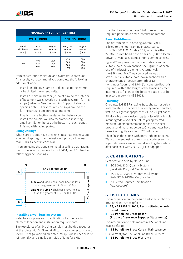

| <b>FRAMEWORK SUPPORT CENTRES</b> |                         |                            |                                |                            |  |  |  |  |
|----------------------------------|-------------------------|----------------------------|--------------------------------|----------------------------|--|--|--|--|
|                                  | <b>WALL LINING</b>      | <b>CEILING LINING</b>      |                                |                            |  |  |  |  |
| Panel<br>thickness<br>(mm)       | Stud<br>centres<br>(mm) | Nogging<br>centres<br>(mm) | Joint/Truss<br>centres<br>(mm) | Nogging<br>centres<br>(mm) |  |  |  |  |
| 9.0                              | 400<br>450<br>600       | 1200<br>1200<br>800        | 450<br>600<br>900<br>1200      | 800<br>600<br>480<br>480   |  |  |  |  |

from construction moisture and hydrostatic pressure. As a result, we recommend you complete the following additional work:

- **II** Install an effective damp proof course to the exterior of backfilled basement walls.
- **II** Install a moisture barrier (ie. paint film) to the interior of basement walls. Overlay this with 40x25mm furring strips (battens). See the Framing Support table for spacing details. Leave 25mm end gaps around the furring strips to encourage air movement.
- **II** Finally, fix a reflective insulation foil before you install the panels. We also recommend inserting small ventilation holes at the bottom of each panel, finished with facing plates.

#### **Lining ceilings**

Where large rooms have breaking lines that exceed 5.0m a ceiling diaphragm can be installed, provided no less than 100BU's exist in each wall.

If you are using the panels to install a ceiling diaphragm, it must be in accordance with NZS 3604, sec 5.6. Use the following panel spacings:



#### **Installing a wall bracing system**

Refer to your plans and specifications for the bracing element location and installation requirements.

The top plates of all bracing panels must be tied together at the joints with 3 kN and 6 kN top plate connectors using 25 x 0.9 mm galvanised mild steel strap, 3 nails each side of joint for 3kN and 6 nails each side of joint for 6kN.

Use the drawings on page 5 & 6 to select the required panel hold down installation method.

#### **Panel Hold-Downs**

The bottom plate in bracing system Type NP1 is fixed to the floor framing in accordance with NZS 3604: 2011 Table 8.19, which is either 2/100x3.75mm hand-driven nails or 3/90 x 3.15 mm power-driven nails, at maximum 600mm centres.

Type NP2 requires the use of end straps and a suitable hold-down anchor (see Figure 2) at each end of the bracing element. Alternatively the GIB HandiBrac® may be used instead of straps, but a suitable hold-down anchor with a characteristic or design strength of 12kN (for timber floors) and 15kN (for concrete floors) is required. Within the length of the bracing element, intermediate fixings to the bottom plate are to be in accordance with NZS 3604.

#### **Finishing**

Once installed, IBS PanelLine Brace should not be left in its raw state. To achieve a uniformly smooth surface, first use 120 grit sandpaper then 240 or 320 grit paper.

Fill all visible screw, nail or staple holes with a flexible interior grade wood filler. Talk to your preferred manufacturer for recommendations on the best product and matching colours. Once any holes have been filled, lightly sand with 320 grit paper.

Then finish the panels with polyurethane or paint. We recommend using three coats: a primer and two top coats. We also recommend sanding the surface after each coat with 280-320 grit sandpaper.

# **5. CERTIFICATIONS**

Certifications held by Nelson Pine:

- **II** ISO 9001: 2008 Quality System (Ref-AR0430-IQNet Certification)
- **II** ISO 14001: 2004 Environmental System (Ref- ER0642-IQNet Certification)
- **II** FSC Mixed Sources Certification (FSC C019095)

# **6. USEFUL LINKS**

For information on the design and specification of IBS PanelLine Brace refer to:

- **II AS/NZS 1859.2: 2004, Reconstituted woodbased panels**
- **II [IBS PanelLine Brace pass™](http://ibs.co.nz/media/1597/ibs_panelline_pass_op1.pdf) [\(Product Assurance Supplier Statements\)](http://ibs.co.nz/media/1597/ibs_panelline_pass_op1.pdf)**

For information to help maintain IBS PanelLine Brace, refer to:

**II [IBS PanelLine Brace Care & Maintenance](http://ibs.co.nz/media/1596/ibs_panelline_maintenance_op1.pdf)**

Our warranty for IBS PanelLine Brace, refer to: **II [IBS PanelLine Brace Warranty](http://ibs.co.nz/media/1598/ibs_panelline_warranty_op1.pdf)**